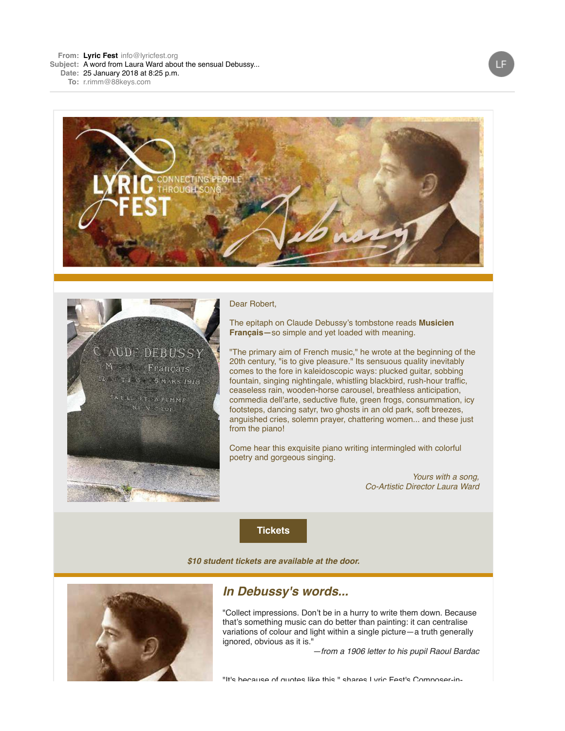



#### Dear Robert,

The epitaph on Claude Debussy's tombstone reads **Musicien Français—**so simple and yet loaded with meaning.

"The primary aim of French music," he wrote at the beginning of the 20th century, "is to give pleasure." Its sensuous quality inevitably comes to the fore in kaleidoscopic ways: plucked guitar, sobbing fountain, singing nightingale, whistling blackbird, rush-hour traffic, ceaseless rain, wooden-horse carousel, breathless anticipation, commedia dell'arte, seductive flute, green frogs, consummation, icy footsteps, dancing satyr, two ghosts in an old park, soft breezes, anguished cries, solemn prayer, chattering women... and these just from the piano!

Come hear this exquisite piano writing intermingled with colorful poetry and gorgeous singing.

> Yours with a song, Co-Artistic Director Laura Ward

**[Tickets](http://r20.rs6.net/tn.jsp?f=001SQw9_xQjeoIheMJG2W-8gBmu_B1A_Tg_GNdqvSe3mfr7Uz9FoEwMYURMqQaXi7FoKT9WTc0QmzcgFO836yBRWNzynrThY3C5imgxAcGVkpN6c5VEktHFw5I-34YtvFBmQCsrnyB3nDMdZbbhNF0lL277GvwOw7rYx-_mS9a3ZAKQy7hABJGKPovrLi-nhfW96lVPKBWoNE8=&c=L2paJkS-o2o-fY4Z32n499Fjy17LHsar9ONaoCg2uPfCNKxPQ6n9EQ==&ch=J_oty3aIL5YGUw8577MeBj5xHr8E52A_WEOUYy7uTCYHZAVbyxiz4w==)**

**\$10 student tickets are available at the door.**



# **In Debussy's words...**

"Collect impressions. Don't be in a hurry to write them down. Because that's something music can do better than painting: it can centralise variations of colour and light within a single picture—a truth generally ignored, obvious as it is."

—from a 1906 letter to his pupil Raoul Bardac

"It's because of quotes like this," shares Lyric Fest's Composer-in-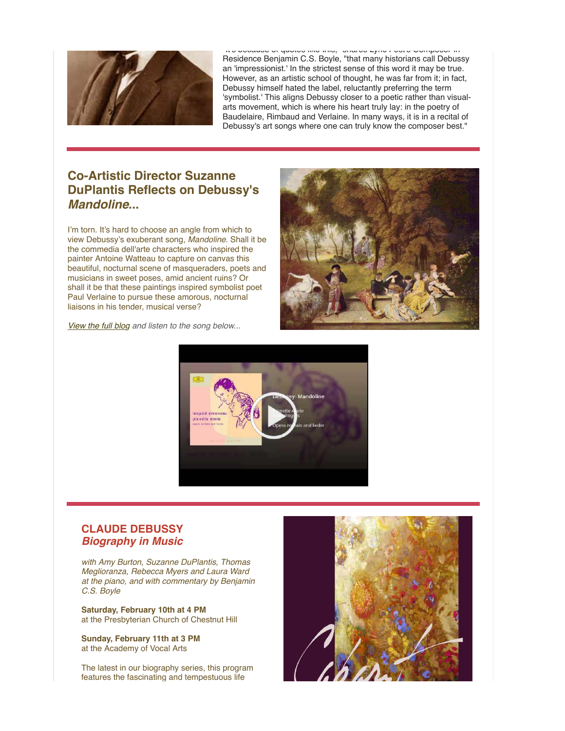

"It's because of quotes like this," shares Lyric Fest's Composer-in-Residence Benjamin C.S. Boyle, "that many historians call Debussy an 'impressionist.' In the strictest sense of this word it may be true. However, as an artistic school of thought, he was far from it; in fact, Debussy himself hated the label, reluctantly preferring the term 'symbolist.' This aligns Debussy closer to a poetic rather than visualarts movement, which is where his heart truly lay: in the poetry of Baudelaire, Rimbaud and Verlaine. In many ways, it is in a recital of Debussy's art songs where one can truly know the composer best."

## **Co-Artistic Director Suzanne DuPlantis Reflects on Debussy's Mandoline...**

I'm torn. It's hard to choose an angle from which to view Debussy's exuberant song, Mandoline. Shall it be the commedia dell'arte characters who inspired the painter Antoine Watteau to capture on canvas this beautiful, nocturnal scene of masqueraders, poets and musicians in sweet poses, amid ancient ruins? Or shall it be that these paintings inspired symbolist poet Paul Verlaine to pursue these amorous, nocturnal liaisons in his tender, musical verse?



[View the full blog](http://r20.rs6.net/tn.jsp?f=001SQw9_xQjeoIheMJG2W-8gBmu_B1A_Tg_GNdqvSe3mfr7Uz9FoEwMYU2pmZjHaGdGAi2rylvxuGMdI-CeISuGyajnuo1E7YseWJ5Qtw4a6QlnbLciNBVuGM08WKEvEkIpWTA_7l8kmIEMFYLUC6mOBt89sOq-v4LQ8nUT3z-alYy_yYpP4j2VL4_8CegjpkDaGGMjq4zaMjktZr5bsJ1VFA==&c=L2paJkS-o2o-fY4Z32n499Fjy17LHsar9ONaoCg2uPfCNKxPQ6n9EQ==&ch=J_oty3aIL5YGUw8577MeBj5xHr8E52A_WEOUYy7uTCYHZAVbyxiz4w==) and listen to the song below...



### **CLAUDE DEBUSSY Biography in Music**

with Amy Burton, Suzanne DuPlantis, Thomas Meglioranza, Rebecca Myers and Laura Ward [at the piano, and with commentary by Benjamin](http://r20.rs6.net/tn.jsp?f=001SQw9_xQjeoIheMJG2W-8gBmu_B1A_Tg_GNdqvSe3mfr7Uz9FoEwMYSUYjJuppIXoPHGtxfCTB9_OLYMygdvkNihxjAUiA4UIZVTCrAzJeBrTGKaJNkPve7urGN8SOcixa8oR8oZXsIvFR7CB0VHGSGyntEATFoJ5I_k7Ji55PlYYiA9hDcaFz12-zxcb5q2-8cjh2DncL6ESPf8Y0rurjJWljztisyKY&c=L2paJkS-o2o-fY4Z32n499Fjy17LHsar9ONaoCg2uPfCNKxPQ6n9EQ==&ch=J_oty3aIL5YGUw8577MeBj5xHr8E52A_WEOUYy7uTCYHZAVbyxiz4w==) C.S. Boyle

**Saturday, February 10th at 4 PM** at the Presbyterian Church of Chestnut Hill

**Sunday, February 11th at 3 PM** at the Academy of Vocal Arts

The latest in our biography series, this program features the fascinating and tempestuous life

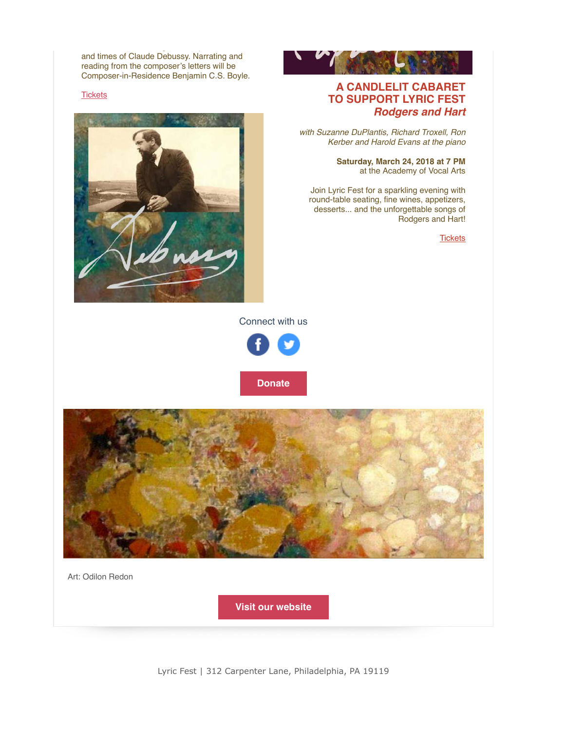and times of Claude Debussy. Narrating and reading from the composer's letters will be Composer-in-Residence Benjamin C.S. Boyle.

features the fascinating and tempestuous life

#### **[Tickets](http://r20.rs6.net/tn.jsp?f=001SQw9_xQjeoIheMJG2W-8gBmu_B1A_Tg_GNdqvSe3mfr7Uz9FoEwMYURMqQaXi7FoKT9WTc0QmzcgFO836yBRWNzynrThY3C5imgxAcGVkpN6c5VEktHFw5I-34YtvFBmQCsrnyB3nDMdZbbhNF0lL277GvwOw7rYx-_mS9a3ZAKQy7hABJGKPovrLi-nhfW96lVPKBWoNE8=&c=L2paJkS-o2o-fY4Z32n499Fjy17LHsar9ONaoCg2uPfCNKxPQ6n9EQ==&ch=J_oty3aIL5YGUw8577MeBj5xHr8E52A_WEOUYy7uTCYHZAVbyxiz4w==)**





### **A CANDLELIT CABARET TO SUPPORT LYRIC FEST Rodgers and Hart**

with Suzanne DuPlantis, Richard Troxell, Ron Kerber and Harold Evans at the piano

> **Saturday, March 24, 2018 at 7 PM** at the Academy of Vocal Arts

Join Lyric Fest for a sparkling evening with round-table seating, fine wines, appetizers, desserts... and the unforgettable songs of Rodgers and Hart!

**[Tickets](http://r20.rs6.net/tn.jsp?f=001SQw9_xQjeoIheMJG2W-8gBmu_B1A_Tg_GNdqvSe3mfr7Uz9FoEwMYSnXjEPV9TocaQ8__9zZRsed8_paUuUExQTog90rcy2LAFpXuOI7vFkHxMvFvKwBQb6WExaEP7VFN-CGh9iioGrNG6cfgG6LZkNjzr0ajr2PX79TXIn-NshGKZHu-sABuNqwgwAHV-yO44dj-svGk04=&c=L2paJkS-o2o-fY4Z32n499Fjy17LHsar9ONaoCg2uPfCNKxPQ6n9EQ==&ch=J_oty3aIL5YGUw8577MeBj5xHr8E52A_WEOUYy7uTCYHZAVbyxiz4w==)** 

Connect with us





Art: Odilon Redon

**[Visit our website](http://r20.rs6.net/tn.jsp?f=001SQw9_xQjeoIheMJG2W-8gBmu_B1A_Tg_GNdqvSe3mfr7Uz9FoEwMYRwyPIusr7v9mZm_VFKFJ1gXOx1JSJUGZnmYGn0AwlXbS1V_9aiAD6XKThdmJbxTcPqvEu--K6ruI5AgN-osEcM=&c=L2paJkS-o2o-fY4Z32n499Fjy17LHsar9ONaoCg2uPfCNKxPQ6n9EQ==&ch=J_oty3aIL5YGUw8577MeBj5xHr8E52A_WEOUYy7uTCYHZAVbyxiz4w==)**

Lyric Fest | 312 Carpenter Lane, Philadelphia, PA 19119